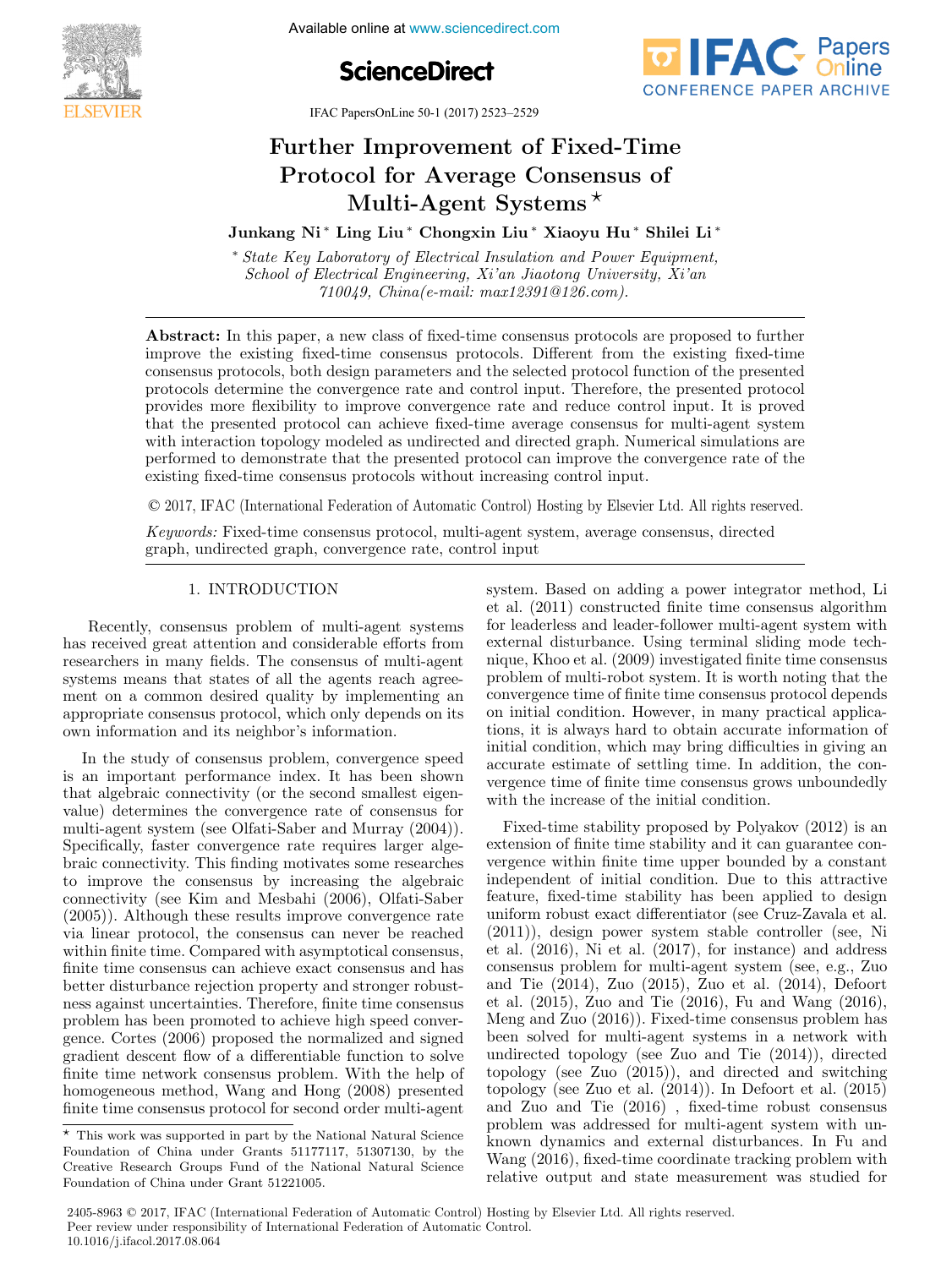

**The International Federation of Available online at www.sciencedirect.com** 





IFAC PapersOnLine 50-1 (2017)  $2523 - 2529$ 

## Further Improvement of Fixed-Time Protocol for Average Consensus of Multi-Agent Systems Protocol for Average Consensus of Protocol for Average Consensus of cor for Average Conser<br>Multi-Agent Systems\* Further Improvement of Fixed-Time Further Improvement of Fixed-Time

Junkang Ni *∗* Ling Liu *∗* Chongxin Liu *∗* Xiaoyu Hu *∗* Shilei Li *∗* Junkang Ni *∗* Ling Liu *∗* Chongxin Liu *∗* Xiaoyu Hu *∗* Shilei Li *∗* Junkang Ni *∗* Ling Liu *∗* Chongxin Liu *∗* Xiaoyu Hu *∗* Shilei Li *∗*

 $\sum_{i=1}^{n}$  School of Electrical Engineering, Xi'an Jiaotong University, Xi'an 710049, China(e-mail: max12391@126.com). *∗ State Key Laboratory of Electrical Insulation and Power Equipment, 710049, China(e-mail: max12391@126.com).*

*710049, China(e-mail: max12391@126.com).*

improve the existing fixed-time consensus protocols. Different from the existing fixed-time existing invedenme consensus protocols. Different from the existing invedenment<br>consensus protocols, both design parameters and the selected protocol function of the presented consensus protocols, both design parameters and the selected protocol function of the presented<br>protocols determine the convergence rate and control input. Therefore, the presented protocol protocols determine the convergence rate and control input. Therefore, the presented protocol<br>provides more flexibility to improve convergence rate and reduce control input. It is proved provides more nexibility to improve convergence rate and reduce control mput. It is proved<br>that the presented protocol can achieve fixed-time average consensus for multi-agent system with interaction topology modeled as undirected and directed graph. Numerical simulations are performed to demonstrate that the presented protocol can improve the convergence rate of the existing fixed-time consensus protocols without increasing control input. Abstract: In this paper, a new class of fixed-time consensus protocols are proposed to further existing fixed-time consensus protocols without increasing control input. provides more flexibility to improve the transfer convergence rate in the reduce rate and reduce  $\mu$  is provided in  $\mu$ 

© 2017, IFAC (International Federation of Automatic Control) Hosting by Elsevier Ltd. All rights reserved.  $\epsilon$  fixed-time consensus protocols with  $\epsilon$  with  $\epsilon$  with  $\epsilon$  with  $\epsilon$  increasing control input.  $\mathcal{L}_{\text{Edd}}$   $\mathcal{L}_{\text{Edd}}$  and  $\mathcal{L}_{\text{Rdd}}$  and  $\mathcal{L}_{\text{Rdd}}$  and  $\mathcal{L}_{\text{Rdd}}$  and  $\mathcal{L}_{\text{Rdd}}$  and  $\mathcal{L}_{\text{Rdd}}$  and  $\mathcal{L}_{\text{Rdd}}$  and  $\mathcal{L}_{\text{Rdd}}$  and  $\mathcal{L}_{\text{Rdd}}$  and  $\mathcal{L}_{\text{Rdd}}$  and  $\mathcal{L}_{\text{Rdd}}$  an © 2017. IFAC (International Federation of Automatic Control) Hosting by Elsevie

Keywords: Fixed-time consensus protocol, multi-agent system, average consensus, directed graph, undirected graph, convergence rate, control input graph, undirected graph, convergence rate, control input *Keywords:* Fixed-time consensus protocol, multi-agent system, average consensus, directed graph, undirected graph, convergence rate, control input

# 1. INTRODUCTION 1. INTRODUCTION 1. INTRODUCTION

Recently, consensus problem of multi-agent systems has received great attention and considerable efforts from researchers in many fields. The consensus of multi-agent researchers in many fields. The consensus of multi-agent systems means that states of all the agents reach agreesystems means that states of all the agents reach agree-<br>ment on a common desired quality by implementing an ment on a common desired quality by implementing and appropriate consensus protocol, which only depends on its own information and its neighbor's information. Recently, consensus problem of multi-agent systems own information and its neighbor's information. appropriate consensus protocol, which only depends on its own information and its neighbor's information.

In the study of consensus problem, convergence speed In the study of consensus problem, convergence speed<br>is an important performance index. It has been shown that algebraic connectivity (or the second smallest eigenvalue) determines the convergence rate of consensus for value) determines the convergence rate of consensus for<br>multi-agent system (see Olfati-Saber and Murray (2004)). main-agent system (see Onati-baber and Murray (2004)).<br>Specifically, faster convergence rate requires larger algebroadenty, haster convergence rate requires harger algebraic connectivity. This finding motivates some researches braic connectivity. This finding motivates some researches<br>to improve the consensus by increasing the algebraic to improve the consensus by increasing the algebraic connectivity (see Kim and Mesbahi (2006), Olfati-Saber  $(2005)$ ). Although these results improve convergence rate  $(2005)$ . via linear protocol, the consensus can never be reached within finite time. Compared with asymptotical consensus, writin inner time. Compared with asymptotical consensus,<br>finite time consensus can achieve exact consensus and has hinte the consensus can achieve exact consensus and has better distinguide rejection property and stronger robus-<br>ness against uncertainties. Therefore, finite time consensus problem has been promoted to achieve high speed convergence. Cortes (2006) proposed the normalized and signed gence. Corres (2000) proposed the normalized and signed<br>gradient descent flow of a differentiable function to solve gradient descent flow of a differentiable function to solve<br>finite time network consensus problem. With the help of homogeneous method, Wang and Hong (2008) presented finite time consensus protocol for second order multi-agent homogeneous method, Wang and Hong (2008) presented finite time network consensus problem. With the help of finite time consensus protocol for second order multi-agent finite time consensus protocol for second order multi-agent system. Based on adding a power integrator method, Li et al. (2011) constructed finite time consensus algorithm for leaderless and leader-follower multi-agent system with external disturbance. Using terminal sliding mode techexternal distribute. Osing terminal sharing mode tech-<br>nique, Khoo et al. (2009) investigated finite time consensus problem of multi-robot system. It is worth noting that the convergence time of finite time consensus protocol depends on initial condition. However, in many practical applicaon initial condition. However, in many practical applica-<br>tions, it is always hard to obtain accurate information of initial condition, which may bring difficulties in giving an accurate estimate of settling time. In addition, the conaccurate estimate of settling time. In addition, the con-<br>vergence time of finite time consensus grows unboundedly with the increase of the initial condition. with the increase of the initial condition. vergence time of finite time consensus grows unboundedly Fixed-time stability proposed by Polyakov (2012) is an experimental contribution. with the increase of the initial condition.

Fixed-time stability proposed by Polyakov (2012) is an  $P_{\text{ACG-thick}}$  becomes stability and it can guarantee conextension of finite time stability and it can guarantee con-<br>vergence within finite time upper bounded by a constant independent of initial condition. Due to this attractive mate pendent of initial condition. Due to this attractive<br>feature, fixed-time stability has been applied to design uniform robust exact differentiator (see Cruz-Zavala et al. (2011)), design power system stable controller (see, Ni  $(2011)$ , design power system stable controller (see, NR)<br>et al.  $(2016)$ , Ni et al.  $(2017)$ , for instance) and address consensus problem for multi-agent system (see, e.g., Zuo consensus problem for multi-agent system (see, e.g., Zuo and Tie (2014), Zuo (2015), Zuo et al. (2014), Defoort and Tie  $(2014)$ , Zuo  $(2019)$ , Zuo et al.  $(2014)$ , Defoortime det al.  $(2015)$ , Zuo and Tie  $(2016)$ , Fu and Wang  $(2016)$ ,  $\alpha$  and  $\alpha$  (2016), Zuo and Tie (2016), Ti and Wang (2016), Meng and Zuo (2016)). Fixed-time consensus problem has wheng and  $2u\sigma$  ( $201\sigma$ )). Fixed-time consensus problem has been solved for multi-agent systems in a network with been solved for multi-agent systems in a network with<br>undirected topology (see Zuo and Tie  $(2014)$ ), directed undirected topology (see Zuo and Tie  $(2014)$ ), directed topology (see Zuo  $(2015)$ ), and directed and switching topology (see Zuo  $(2019)$ ), and directed and switching<br>topology (see Zuo et al.  $(2014)$ ). In Defoort et al.  $(2015)$ topology (see Zuo et al.  $(2014)$ ). In Defoort et al.  $(2016)$ <br>and Zuo and Tie  $(2016)$ , fixed-time robust consensus and Zuo and Tie (2016), fixed-time robust consensus problem was addressed for multi-agent system with unknown dynamics and external disturbances. In Fu and Wang (2016), fixed-time coordinate tracking problem with wang (2016), fixed-time coordinate tracking problem with<br>relative output and state measurement was studied for relative output and state measurement was studied for

 $\overline{\star}$  This work was supported in part by the National Natural Science Foundation of China under Grants 51177117, 51307130, by the Creative Research Groups Fund of the National Natural Science Creative Research Groups Fund of the National Natural Science Foundation of China under Grants 51177117, 51307130, by the Foundation of China under Grant 51221005. \* This work was supported in part by the National Natural Science<br>Foundation of China under Grants 51177117, 51307130, by the<br>Creative Research Groups Fund of the National Natural Science Foundation of China under Grant 51221005.

<sup>2405-8963 © 2017,</sup> IFAC (International Federation of Automatic Control) Hosting by Elsevier Ltd. All rights reserved. **Peer review under responsibility of International Federation of Automatic Control.**<br> **Peer review under responsibility of International Federation of Automatic Control.** 10.1016/j.ifacol.2017.08.064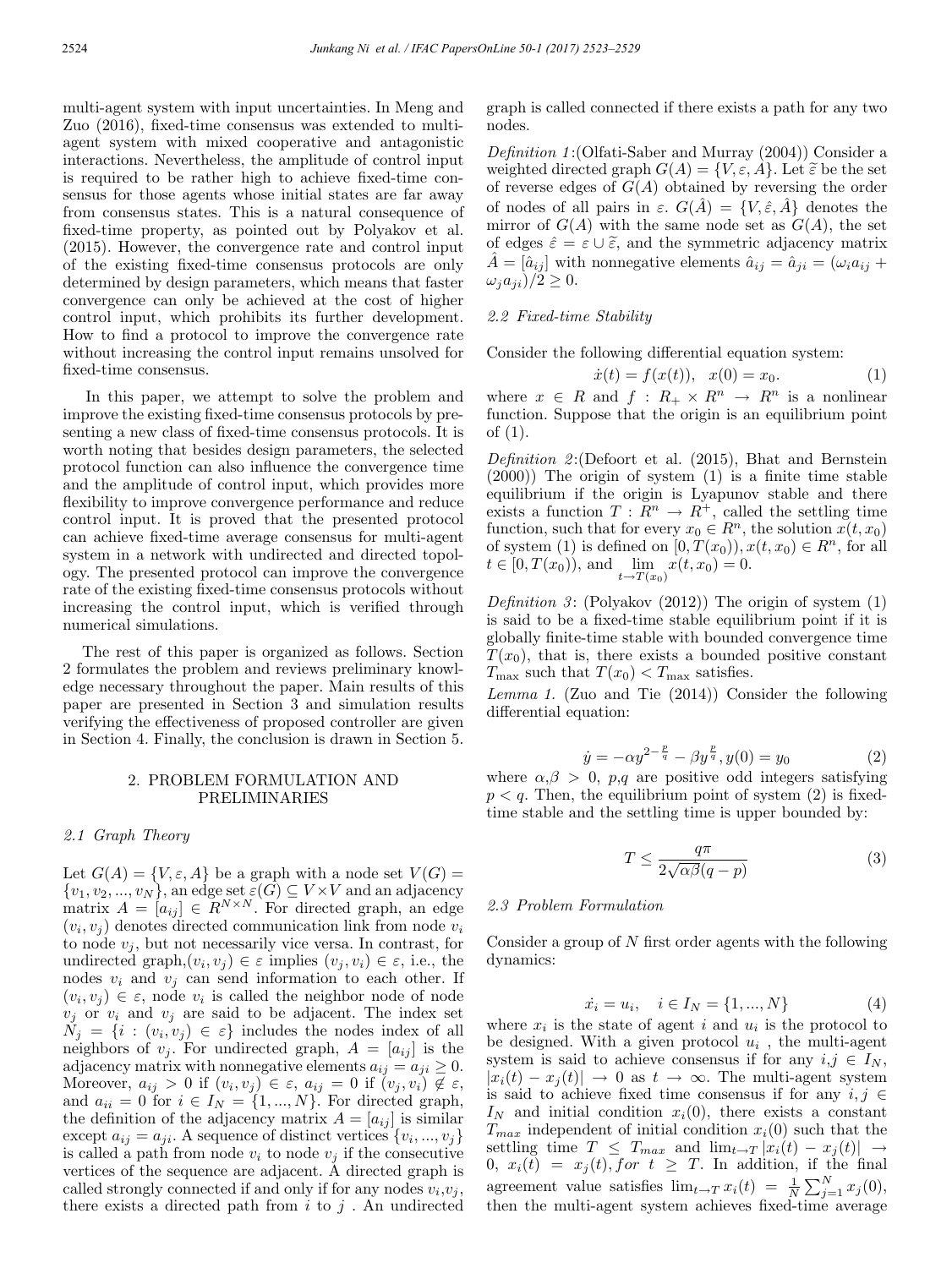multi-agent system with input uncertainties. In Meng and Zuo (2016), fixed-time consensus was extended to multiagent system with mixed cooperative and antagonistic interactions. Nevertheless, the amplitude of control input is required to be rather high to achieve fixed-time consensus for those agents whose initial states are far away from consensus states. This is a natural consequence of fixed-time property, as pointed out by Polyakov et al. (2015). However, the convergence rate and control input of the existing fixed-time consensus protocols are only determined by design parameters, which means that faster convergence can only be achieved at the cost of higher control input, which prohibits its further development. How to find a protocol to improve the convergence rate without increasing the control input remains unsolved for fixed-time consensus.

In this paper, we attempt to solve the problem and improve the existing fixed-time consensus protocols by presenting a new class of fixed-time consensus protocols. It is worth noting that besides design parameters, the selected protocol function can also influence the convergence time and the amplitude of control input, which provides more flexibility to improve convergence performance and reduce control input. It is proved that the presented protocol can achieve fixed-time average consensus for multi-agent system in a network with undirected and directed topology. The presented protocol can improve the convergence rate of the existing fixed-time consensus protocols without increasing the control input, which is verified through numerical simulations.

The rest of this paper is organized as follows. Section 2 formulates the problem and reviews preliminary knowledge necessary throughout the paper. Main results of this paper are presented in Section 3 and simulation results verifying the effectiveness of proposed controller are given in Section 4. Finally, the conclusion is drawn in Section 5.

### 2. PROBLEM FORMULATION AND PRELIMINARIES

#### *2.1 Graph Theory*

Let  $G(A) = \{V, \varepsilon, A\}$  be a graph with a node set  $V(G)$  $\{v_1, v_2, ..., v_N\}$ , an edge set  $\varepsilon(G) \subseteq V \times V$  and an adjacency  $\text{matrix } A = [a_{ij}] \in R^{N \times N}$ . For directed graph, an edge  $(v_i, v_j)$  denotes directed communication link from node  $v_i$ to node  $v_j$ , but not necessarily vice versa. In contrast, for undirected graph, $(v_i, v_j) \in \varepsilon$  implies  $(v_j, v_i) \in \varepsilon$ , i.e., the nodes  $v_i$  and  $v_j$  can send information to each other. If  $(v_i, v_j) \in \varepsilon$ , node  $v_i$  is called the neighbor node of node  $v_j$  or  $v_i$  and  $v_j$  are said to be adjacent. The index set  $N_j = \{i : (v_i, v_j) \in \varepsilon\}$  includes the nodes index of all neighbors of  $v_j$ . For undirected graph,  $A = [a_{ij}]$  is the adjacency matrix with nonnegative elements  $a_{ij} = a_{ji} \geq 0$ . Moreover,  $a_{ij} > 0$  if  $(v_i, v_j) \in \varepsilon$ ,  $a_{ij} = 0$  if  $(v_j, v_i) \notin \varepsilon$ , and  $a_{ii} = 0$  for  $i \in I_N = \{1, ..., N\}$ . For directed graph, the definition of the adjacency matrix  $A = [a_{ij}]$  is similar except  $a_{ij} = a_{ji}$ . A sequence of distinct vertices  $\{v_i, ..., v_j\}$ is called a path from node  $v_i$  to node  $v_j$  if the consecutive vertices of the sequence are adjacent. A directed graph is called strongly connected if and only if for any nodes  $v_i, v_j$ , there exists a directed path from *i* to *j* . An undirected

graph is called connected if there exists a path for any two nodes.

*Definition 1* :(Olfati-Saber and Murray (2004)) Consider a weighted directed graph  $G(A) = \{V, \varepsilon, A\}$ . Let  $\tilde{\varepsilon}$  be the set of reverse edges of *G*(*A*) obtained by reversing the order of nodes of all pairs in  $\varepsilon$ .  $G(\hat{A}) = \{V, \hat{\varepsilon}, \hat{A}\}\$ denotes the mirror of  $G(A)$  with the same node set as  $G(A)$ , the set of edges  $\hat{\varepsilon} = \varepsilon \cup \tilde{\varepsilon}$ , and the symmetric adjacency matrix  $\hat{A} = [\hat{a}_{ij}]$  with nonnegative elements  $\hat{a}_{ij} = \hat{a}_{ji} = (\omega_i a_{ij} + \hat{a}_{ji})$  $\omega_i a_{ii}$  $)/2 \geq 0$ .

#### *2.2 Fixed-time Stability*

Consider the following differential equation system:

$$
\dot{x}(t) = f(x(t)), \quad x(0) = x_0. \tag{1}
$$

where  $x \in R$  and  $f: R_+ \times R^n \to R^n$  is a nonlinear function. Suppose that the origin is an equilibrium point of (1).

*Definition 2* :(Defoort et al. (2015), Bhat and Bernstein (2000)) The origin of system (1) is a finite time stable equilibrium if the origin is Lyapunov stable and there exists a function  $T: R^n \to R^+$ , called the settling time function, such that for every  $x_0 \in R^n$ , the solution  $\tilde{x}(t, x_0)$ of system (1) is defined on  $[0, T(x_0))$ ,  $x(t, x_0) \in R^n$ , for all  $t \in [0, T(x_0)),$  and  $\lim_{t \to T(x_0)} x(t, x_0) = 0.$ 

*Definition 3* : (Polyakov (2012)) The origin of system (1) is said to be a fixed-time stable equilibrium point if it is globally finite-time stable with bounded convergence time  $T(x_0)$ , that is, there exists a bounded positive constant  $T_{\text{max}}$  such that  $T(x_0) < T_{\text{max}}$  satisfies.

*Lemma 1.* (Zuo and Tie (2014)) Consider the following differential equation:

$$
\dot{y} = -\alpha y^{2 - \frac{p}{q}} - \beta y^{\frac{p}{q}}, y(0) = y_0 \tag{2}
$$

where  $\alpha, \beta > 0$ , *p*,*q* are positive odd integers satisfying  $p < q$ . Then, the equilibrium point of system (2) is fixedtime stable and the settling time is upper bounded by:

$$
T \le \frac{q\pi}{2\sqrt{\alpha\beta}(q-p)}\tag{3}
$$

### *2.3 Problem Formulation*

Consider a group of *N* first order agents with the following dynamics:

$$
\dot{x}_i = u_i, \quad i \in I_N = \{1, ..., N\}
$$
 (4)

where  $x_i$  is the state of agent *i* and  $u_i$  is the protocol to be designed. With a given protocol  $u_i$ , the multi-agent system is said to achieve consensus if for any  $i, j \in I_N$ ,  $|x_i(t) - x_j(t)|$  → 0 as  $t \to \infty$ . The multi-agent system is said to achieve fixed time consensus if for any  $i, j \in$  $I_N$  and initial condition  $x_i(0)$ , there exists a constant  $T_{max}$  independent of initial condition  $x_i(0)$  such that the settling time  $T \leq T_{max}$  and  $\lim_{t \to T} |x_i(t) - x_j(t)| \to$ 0,  $x_i(t) = x_j(t)$ , for  $t \geq T$ . In addition, if the final agreement value satisfies  $\lim_{t \to T} x_i(t) = \frac{1}{N} \sum_{j=1}^{N} x_j(0)$ , then the multi-agent system achieves fixed-time average